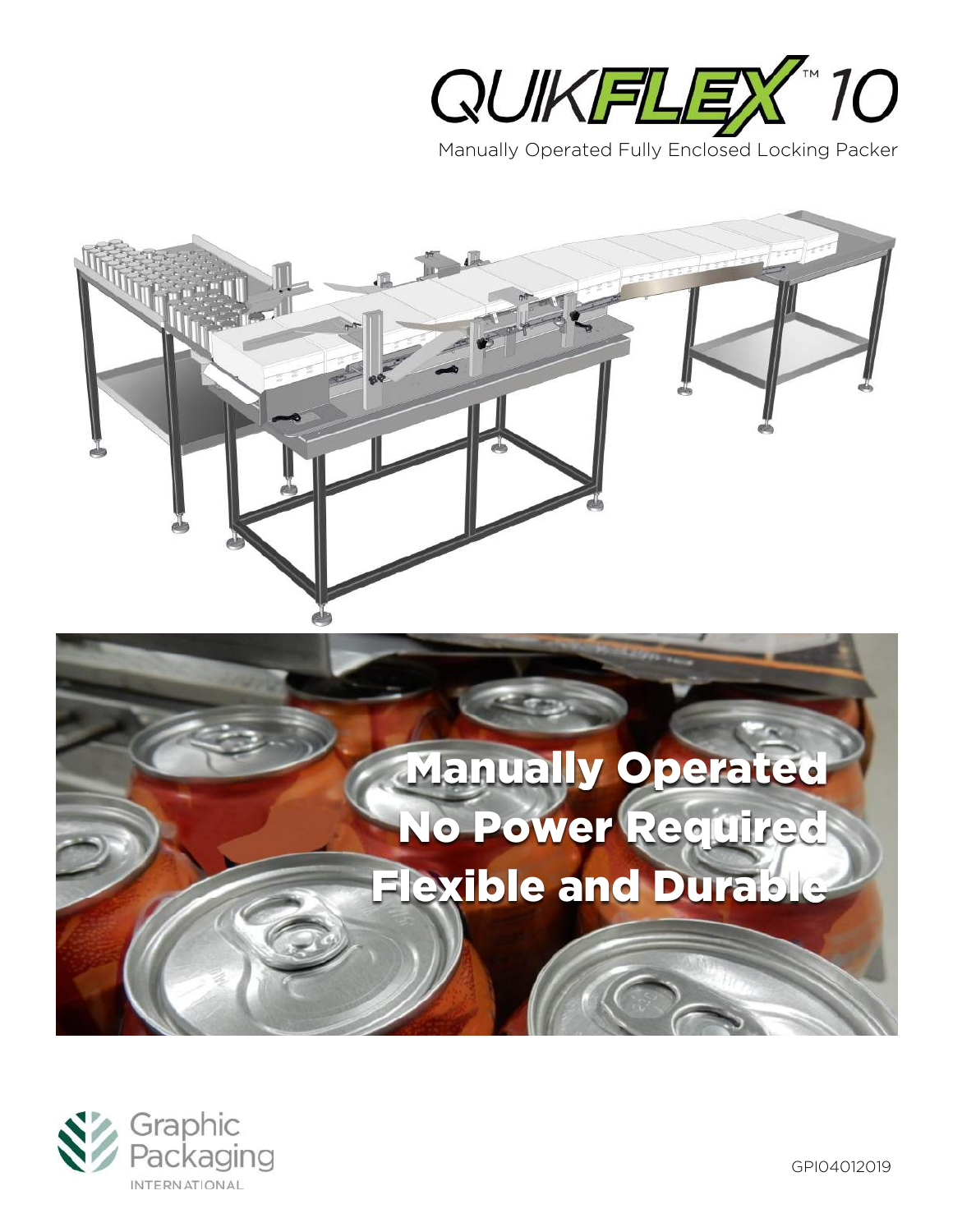







GPI04012019